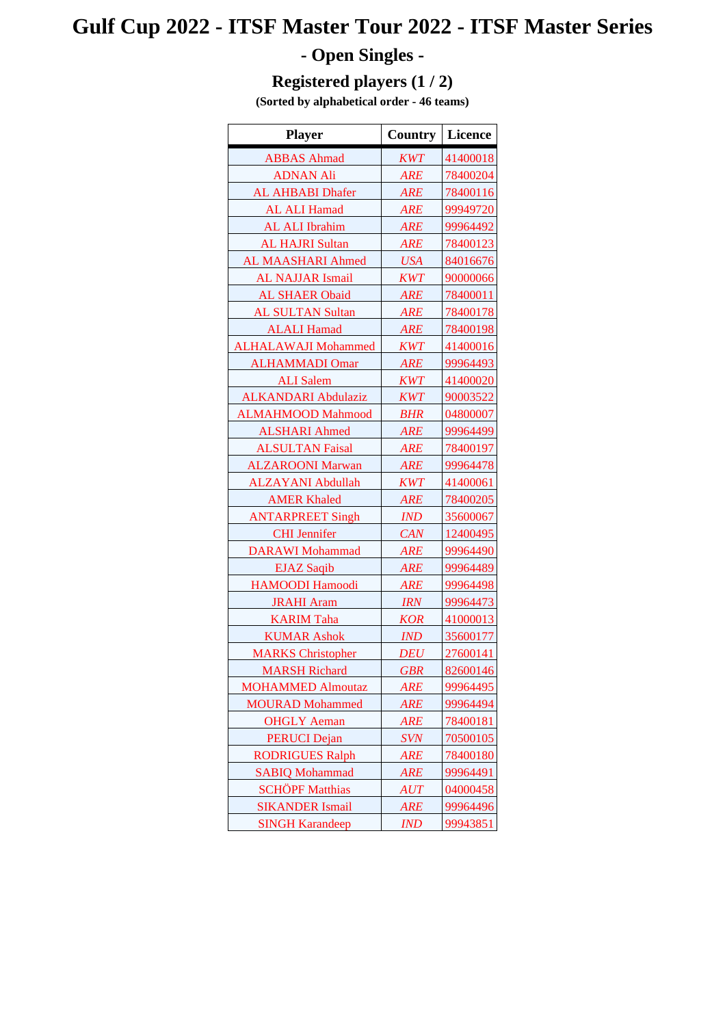## **Gulf Cup 2022 - ITSF Master Tour 2022 - ITSF Master Series - Open Singles -**

**Registered players (1 / 2)**

**(Sorted by alphabetical order - 46 teams)**

| <b>Player</b>              | Country    | <b>Licence</b> |
|----------------------------|------------|----------------|
| <b>ABBAS Ahmad</b>         | <b>KWT</b> | 41400018       |
| <b>ADNAN Ali</b>           | <b>ARE</b> | 78400204       |
| AL AHBABI Dhafer           | <b>ARE</b> | 78400116       |
| <b>AL ALI Hamad</b>        | <b>ARE</b> | 99949720       |
| <b>AL ALI Ibrahim</b>      | <b>ARE</b> | 99964492       |
| <b>AL HAJRI Sultan</b>     | <b>ARE</b> | 78400123       |
| AL MAASHARI Ahmed          | <b>USA</b> | 84016676       |
| <b>AL NAJJAR Ismail</b>    | <b>KWT</b> | 90000066       |
| <b>AL SHAER Obaid</b>      | ARE        | 78400011       |
| <b>AL SULTAN Sultan</b>    | <b>ARE</b> | 78400178       |
| <b>ALALI Hamad</b>         | <b>ARE</b> | 78400198       |
| <b>ALHALAWAJI Mohammed</b> | <b>KWT</b> | 41400016       |
| <b>ALHAMMADI Omar</b>      | <b>ARE</b> | 99964493       |
| <b>ALI</b> Salem           | <b>KWT</b> | 41400020       |
| <b>ALKANDARI Abdulaziz</b> | <b>KWT</b> | 90003522       |
| <b>ALMAHMOOD Mahmood</b>   | <b>BHR</b> | 04800007       |
| <b>ALSHARI Ahmed</b>       | <b>ARE</b> | 99964499       |
| <b>ALSULTAN Faisal</b>     | ARE        | 78400197       |
| <b>ALZAROONI Marwan</b>    | <b>ARE</b> | 99964478       |
| <b>ALZAYANI Abdullah</b>   | <b>KWT</b> | 41400061       |
| <b>AMER Khaled</b>         | ARE        | 78400205       |
| <b>ANTARPREET Singh</b>    | <b>IND</b> | 35600067       |
| <b>CHI</b> Jennifer        | CAN        | 12400495       |
| <b>DARAWI</b> Mohammad     | ARE        | 99964490       |
| <b>EJAZ Saqib</b>          | <b>ARE</b> | 99964489       |
| <b>HAMOODI Hamoodi</b>     | <b>ARE</b> | 99964498       |
| <b>JRAHI</b> Aram          | <b>IRN</b> | 99964473       |
| <b>KARIM Taha</b>          | <b>KOR</b> | 41000013       |
| <b>KUMAR Ashok</b>         | <b>IND</b> | 35600177       |
| <b>MARKS</b> Christopher   | <b>DEU</b> | 27600141       |
| <b>MARSH Richard</b>       | <b>GBR</b> | 82600146       |
| <b>MOHAMMED Almoutaz</b>   | <b>ARE</b> | 99964495       |
| <b>MOURAD Mohammed</b>     | <b>ARE</b> | 99964494       |
| <b>OHGLY Aeman</b>         | <b>ARE</b> | 78400181       |
| <b>PERUCI Dejan</b>        | <b>SVN</b> | 70500105       |
| <b>RODRIGUES Ralph</b>     | <b>ARE</b> | 78400180       |
| <b>SABIQ Mohammad</b>      | <b>ARE</b> | 99964491       |
| <b>SCHÖPF Matthias</b>     | <b>AUT</b> | 04000458       |
| <b>SIKANDER Ismail</b>     | ARE        | 99964496       |
| <b>SINGH Karandeep</b>     | <b>IND</b> | 99943851       |